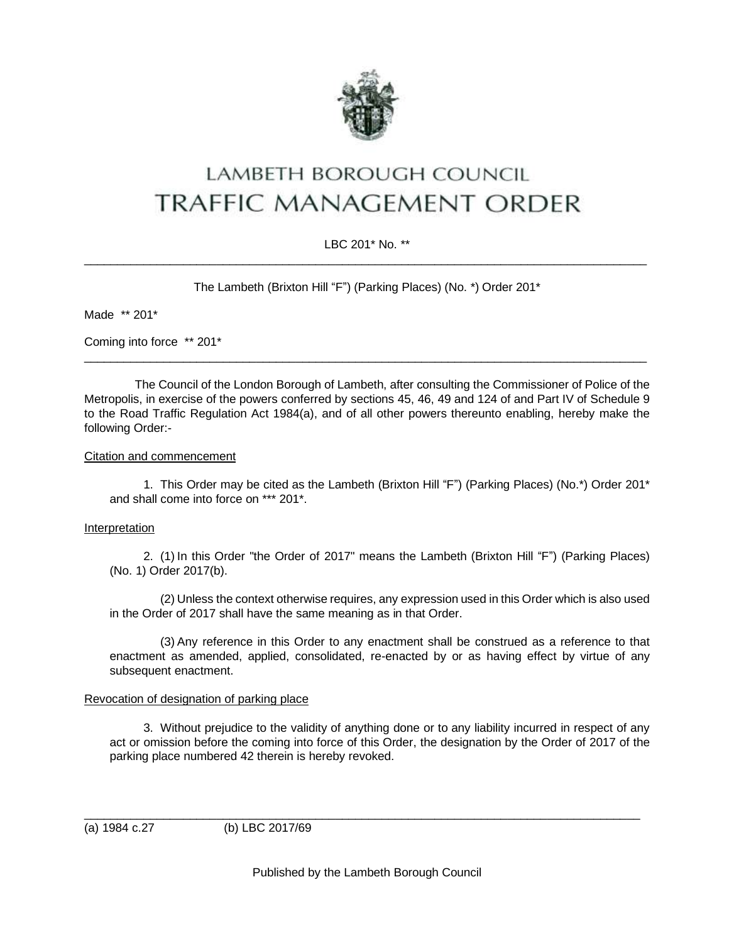

# LAMBETH BOROUGH COUNCIL **TRAFFIC MANAGEMENT ORDER**

## LBC 201\* No. \*\*  $\_$  , and the set of the set of the set of the set of the set of the set of the set of the set of the set of the set of the set of the set of the set of the set of the set of the set of the set of the set of the set of th

The Lambeth (Brixton Hill "F") (Parking Places) (No. \*) Order 201\*

Made \*\* 201\*

Coming into force \*\* 201\*

The Council of the London Borough of Lambeth, after consulting the Commissioner of Police of the Metropolis, in exercise of the powers conferred by sections 45, 46, 49 and 124 of and Part IV of Schedule 9 to the Road Traffic Regulation Act 1984(a), and of all other powers thereunto enabling, hereby make the following Order:-

 $\_$  , and the set of the set of the set of the set of the set of the set of the set of the set of the set of the set of the set of the set of the set of the set of the set of the set of the set of the set of the set of th

#### Citation and commencement

1. This Order may be cited as the Lambeth (Brixton Hill "F") (Parking Places) (No.\*) Order 201\* and shall come into force on \*\*\* 201\*.

#### Interpretation

2. (1) In this Order "the Order of 2017" means the Lambeth (Brixton Hill "F") (Parking Places) (No. 1) Order 2017(b).

(2) Unless the context otherwise requires, any expression used in this Order which is also used in the Order of 2017 shall have the same meaning as in that Order.

(3) Any reference in this Order to any enactment shall be construed as a reference to that enactment as amended, applied, consolidated, re-enacted by or as having effect by virtue of any subsequent enactment.

### Revocation of designation of parking place

3. Without prejudice to the validity of anything done or to any liability incurred in respect of any act or omission before the coming into force of this Order, the designation by the Order of 2017 of the parking place numbered 42 therein is hereby revoked.

(a) 1984 c.27 (b) LBC 2017/69

\_\_\_\_\_\_\_\_\_\_\_\_\_\_\_\_\_\_\_\_\_\_\_\_\_\_\_\_\_\_\_\_\_\_\_\_\_\_\_\_\_\_\_\_\_\_\_\_\_\_\_\_\_\_\_\_\_\_\_\_\_\_\_\_\_\_\_\_\_\_\_\_\_\_\_\_\_\_\_\_\_\_\_\_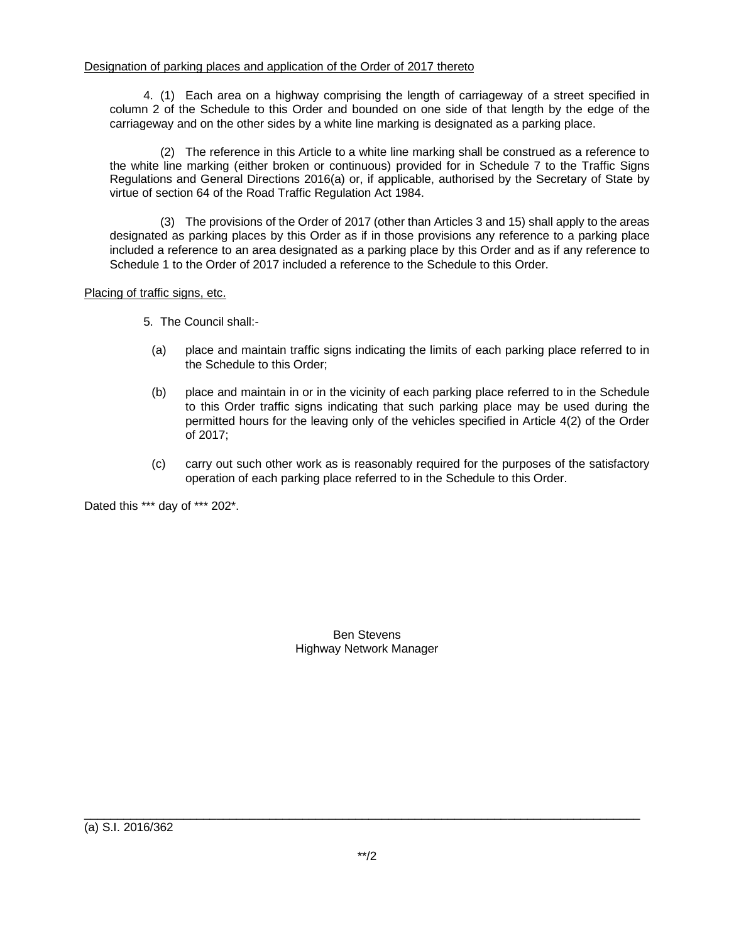4. (1) Each area on a highway comprising the length of carriageway of a street specified in column 2 of the Schedule to this Order and bounded on one side of that length by the edge of the carriageway and on the other sides by a white line marking is designated as a parking place.

(2) The reference in this Article to a white line marking shall be construed as a reference to the white line marking (either broken or continuous) provided for in Schedule 7 to the Traffic Signs Regulations and General Directions 2016(a) or, if applicable, authorised by the Secretary of State by virtue of section 64 of the Road Traffic Regulation Act 1984.

(3) The provisions of the Order of 2017 (other than Articles 3 and 15) shall apply to the areas designated as parking places by this Order as if in those provisions any reference to a parking place included a reference to an area designated as a parking place by this Order and as if any reference to Schedule 1 to the Order of 2017 included a reference to the Schedule to this Order.

## Placing of traffic signs, etc.

- 5. The Council shall:-
	- (a) place and maintain traffic signs indicating the limits of each parking place referred to in the Schedule to this Order;
	- (b) place and maintain in or in the vicinity of each parking place referred to in the Schedule to this Order traffic signs indicating that such parking place may be used during the permitted hours for the leaving only of the vehicles specified in Article 4(2) of the Order of 2017;
	- (c) carry out such other work as is reasonably required for the purposes of the satisfactory operation of each parking place referred to in the Schedule to this Order.

Dated this \*\*\* day of \*\*\* 202\*.

Ben Stevens Highway Network Manager

(a) S.I. 2016/362

\_\_\_\_\_\_\_\_\_\_\_\_\_\_\_\_\_\_\_\_\_\_\_\_\_\_\_\_\_\_\_\_\_\_\_\_\_\_\_\_\_\_\_\_\_\_\_\_\_\_\_\_\_\_\_\_\_\_\_\_\_\_\_\_\_\_\_\_\_\_\_\_\_\_\_\_\_\_\_\_\_\_\_\_